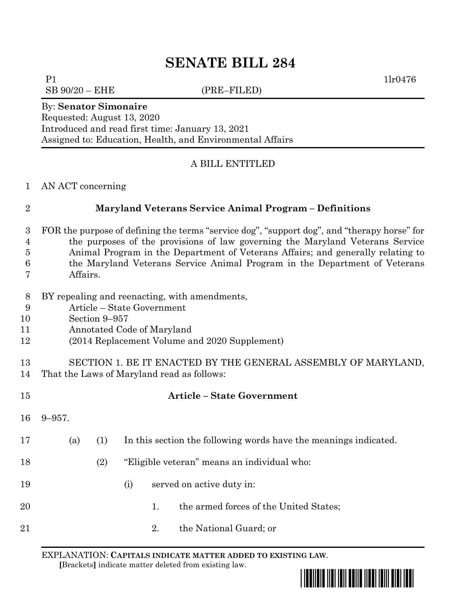# **SENATE BILL 284**

P1 1lr0476

 $SB\ 90/20 - EHE$  (PRE–FILED)

#### By: **Senator Simonaire**

Requested: August 13, 2020 Introduced and read first time: January 13, 2021 Assigned to: Education, Health, and Environmental Affairs

## A BILL ENTITLED

### AN ACT concerning

## **Maryland Veterans Service Animal Program – Definitions**

- FOR the purpose of defining the terms "service dog", "support dog", and "therapy horse" for the purposes of the provisions of law governing the Maryland Veterans Service Animal Program in the Department of Veterans Affairs; and generally relating to
- the Maryland Veterans Service Animal Program in the Department of Veterans
- Affairs.
- BY repealing and reenacting, with amendments,
- Article State Government
- Section 9–957
- Annotated Code of Maryland
- (2014 Replacement Volume and 2020 Supplement)

# SECTION 1. BE IT ENACTED BY THE GENERAL ASSEMBLY OF MARYLAND,

That the Laws of Maryland read as follows:

| 15 |             |     |                                             |    | <b>Article – State Government</b>                                |
|----|-------------|-----|---------------------------------------------|----|------------------------------------------------------------------|
| 16 | $9 - 957$ . |     |                                             |    |                                                                  |
| 17 | (a)         | (1) |                                             |    | In this section the following words have the meanings indicated. |
| 18 |             | (2) | "Eligible veteran" means an individual who: |    |                                                                  |
| 19 |             |     | (i)                                         |    | served on active duty in:                                        |
| 20 |             |     |                                             | 1. | the armed forces of the United States;                           |
| 21 |             |     |                                             | 2. | the National Guard; or                                           |
|    |             |     |                                             |    |                                                                  |

EXPLANATION: **CAPITALS INDICATE MATTER ADDED TO EXISTING LAW**.  **[**Brackets**]** indicate matter deleted from existing law.

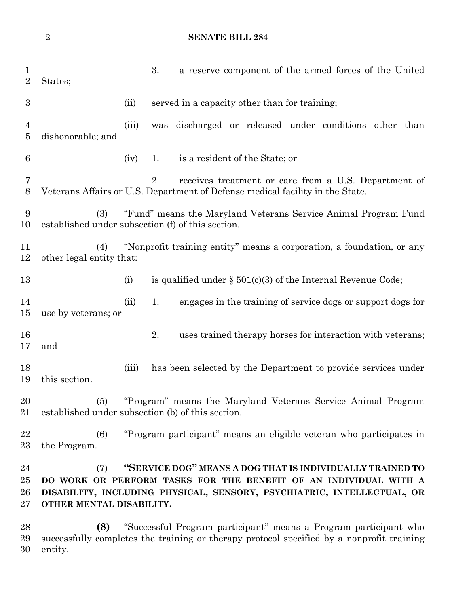```
2 SENATE BILL 284
```

| $\mathbf{1}$<br>$\overline{2}$   | States;                                                                                                                                                                                                                                    |       | 3.  | a reserve component of the armed forces of the United                                                                                 |  |
|----------------------------------|--------------------------------------------------------------------------------------------------------------------------------------------------------------------------------------------------------------------------------------------|-------|-----|---------------------------------------------------------------------------------------------------------------------------------------|--|
| $\boldsymbol{3}$                 |                                                                                                                                                                                                                                            | (ii)  |     | served in a capacity other than for training;                                                                                         |  |
| $\overline{4}$<br>$\overline{5}$ | dishonorable; and                                                                                                                                                                                                                          | (iii) | was | discharged or released under conditions other than                                                                                    |  |
| $6\phantom{.}6$                  |                                                                                                                                                                                                                                            | (iv)  | 1.  | is a resident of the State; or                                                                                                        |  |
| 7<br>8                           |                                                                                                                                                                                                                                            |       | 2.  | receives treatment or care from a U.S. Department of<br>Veterans Affairs or U.S. Department of Defense medical facility in the State. |  |
| 9<br>10                          | (3)<br>"Fund" means the Maryland Veterans Service Animal Program Fund<br>established under subsection (f) of this section.                                                                                                                 |       |     |                                                                                                                                       |  |
| 11<br>12                         | (4)<br>other legal entity that:                                                                                                                                                                                                            |       |     | "Nonprofit training entity" means a corporation, a foundation, or any                                                                 |  |
| 13                               |                                                                                                                                                                                                                                            | (i)   |     | is qualified under $\S 501(c)(3)$ of the Internal Revenue Code;                                                                       |  |
| 14<br>15                         | use by veterans; or                                                                                                                                                                                                                        | (ii)  | 1.  | engages in the training of service dogs or support dogs for                                                                           |  |
| 16<br>17                         | and                                                                                                                                                                                                                                        |       | 2.  | uses trained therapy horses for interaction with veterans;                                                                            |  |
| 18<br>19                         | this section.                                                                                                                                                                                                                              | (iii) |     | has been selected by the Department to provide services under                                                                         |  |
| 20<br>21                         | (5)<br>established under subsection (b) of this section.                                                                                                                                                                                   |       |     | "Program" means the Maryland Veterans Service Animal Program                                                                          |  |
| 22<br>23                         | (6)<br>the Program.                                                                                                                                                                                                                        |       |     | "Program participant" means an eligible veteran who participates in                                                                   |  |
| 24<br>25<br>26<br>27             | "SERVICE DOG" MEANS A DOG THAT IS INDIVIDUALLY TRAINED TO<br>(7)<br>DO WORK OR PERFORM TASKS FOR THE BENEFIT OF AN INDIVIDUAL WITH A<br>DISABILITY, INCLUDING PHYSICAL, SENSORY, PSYCHIATRIC, INTELLECTUAL, OR<br>OTHER MENTAL DISABILITY. |       |     |                                                                                                                                       |  |
| 28<br>29<br>30                   | "Successful Program participant" means a Program participant who<br>(8)<br>successfully completes the training or therapy protocol specified by a nonprofit training<br>entity.                                                            |       |     |                                                                                                                                       |  |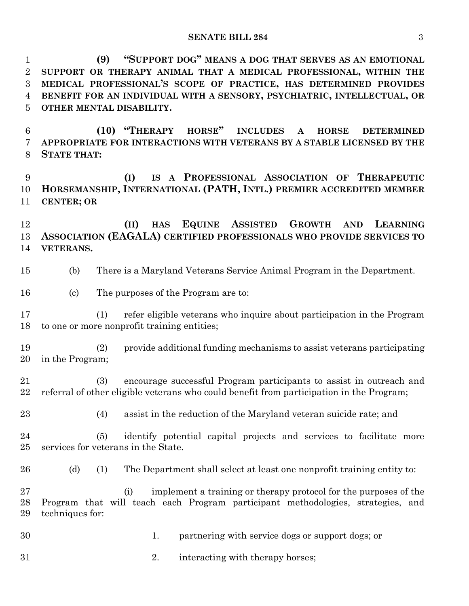**(9) "SUPPORT DOG" MEANS A DOG THAT SERVES AS AN EMOTIONAL SUPPORT OR THERAPY ANIMAL THAT A MEDICAL PROFESSIONAL, WITHIN THE MEDICAL PROFESSIONAL'S SCOPE OF PRACTICE, HAS DETERMINED PROVIDES BENEFIT FOR AN INDIVIDUAL WITH A SENSORY, PSYCHIATRIC, INTELLECTUAL, OR OTHER MENTAL DISABILITY.**

 **(10) "THERAPY HORSE" INCLUDES A HORSE DETERMINED APPROPRIATE FOR INTERACTIONS WITH VETERANS BY A STABLE LICENSED BY THE STATE THAT:**

 **(I) IS A PROFESSIONAL ASSOCIATION OF THERAPEUTIC HORSEMANSHIP, INTERNATIONAL (PATH, INTL.) PREMIER ACCREDITED MEMBER CENTER; OR**

 **(II) HAS EQUINE ASSISTED GROWTH AND LEARNING ASSOCIATION (EAGALA) CERTIFIED PROFESSIONALS WHO PROVIDE SERVICES TO VETERANS.**

- (b) There is a Maryland Veterans Service Animal Program in the Department.
- (c) The purposes of the Program are to:

 (1) refer eligible veterans who inquire about participation in the Program to one or more nonprofit training entities;

- (2) provide additional funding mechanisms to assist veterans participating in the Program;
- (3) encourage successful Program participants to assist in outreach and referral of other eligible veterans who could benefit from participation in the Program;
- 
- (4) assist in the reduction of the Maryland veteran suicide rate; and

 (5) identify potential capital projects and services to facilitate more services for veterans in the State.

- 
- 26 (d) (1) The Department shall select at least one nonprofit training entity to:

 (i) implement a training or therapy protocol for the purposes of the Program that will teach each Program participant methodologies, strategies, and techniques for:

- 1. partnering with service dogs or support dogs; or
- 2. interacting with therapy horses;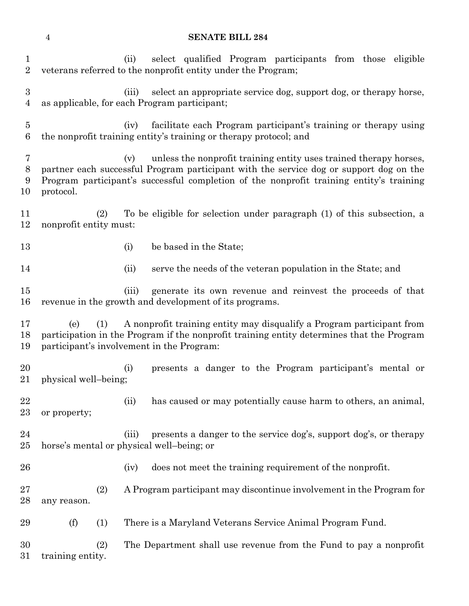### **SENATE BILL 284**

| 1<br>$\overline{2}$   |                                                                                                                                                                                                                                                                            | select qualified Program participants from those eligible<br>(ii)<br>veterans referred to the nonprofit entity under the Program;                                                                               |  |  |  |  |  |  |
|-----------------------|----------------------------------------------------------------------------------------------------------------------------------------------------------------------------------------------------------------------------------------------------------------------------|-----------------------------------------------------------------------------------------------------------------------------------------------------------------------------------------------------------------|--|--|--|--|--|--|
| $\boldsymbol{3}$<br>4 |                                                                                                                                                                                                                                                                            | select an appropriate service dog, support dog, or therapy horse,<br>(iii)<br>as applicable, for each Program participant;                                                                                      |  |  |  |  |  |  |
| $\overline{5}$<br>6   |                                                                                                                                                                                                                                                                            | facilitate each Program participant's training or therapy using<br>(iv)<br>the nonprofit training entity's training or therapy protocol; and                                                                    |  |  |  |  |  |  |
| 7<br>8<br>9<br>10     | unless the nonprofit training entity uses trained therapy horses,<br>(v)<br>partner each successful Program participant with the service dog or support dog on the<br>Program participant's successful completion of the nonprofit training entity's training<br>protocol. |                                                                                                                                                                                                                 |  |  |  |  |  |  |
| 11<br>12              | (2)<br>nonprofit entity must:                                                                                                                                                                                                                                              | To be eligible for selection under paragraph (1) of this subsection, a                                                                                                                                          |  |  |  |  |  |  |
| 13                    |                                                                                                                                                                                                                                                                            | be based in the State;<br>(i)                                                                                                                                                                                   |  |  |  |  |  |  |
| 14                    |                                                                                                                                                                                                                                                                            | serve the needs of the veteran population in the State; and<br>(ii)                                                                                                                                             |  |  |  |  |  |  |
| 15<br>16              |                                                                                                                                                                                                                                                                            | generate its own revenue and reinvest the proceeds of that<br>(iii)<br>revenue in the growth and development of its programs.                                                                                   |  |  |  |  |  |  |
| 17<br>18<br>19        | (1)<br>(e)                                                                                                                                                                                                                                                                 | A nonprofit training entity may disqualify a Program participant from<br>participation in the Program if the nonprofit training entity determines that the Program<br>participant's involvement in the Program: |  |  |  |  |  |  |
| 20<br>21              | physical well-being;                                                                                                                                                                                                                                                       | presents a danger to the Program participant's mental or<br>(i)                                                                                                                                                 |  |  |  |  |  |  |
| 22<br>23              | or property;                                                                                                                                                                                                                                                               | has caused or may potentially cause harm to others, an animal,<br>(ii)                                                                                                                                          |  |  |  |  |  |  |
| 24<br>25              |                                                                                                                                                                                                                                                                            | presents a danger to the service dog's, support dog's, or therapy<br>(iii)<br>horse's mental or physical well-being; or                                                                                         |  |  |  |  |  |  |
| 26                    |                                                                                                                                                                                                                                                                            | does not meet the training requirement of the nonprofit.<br>(iv)                                                                                                                                                |  |  |  |  |  |  |
| 27<br>28              | (2)<br>any reason.                                                                                                                                                                                                                                                         | A Program participant may discontinue involvement in the Program for                                                                                                                                            |  |  |  |  |  |  |
|                       |                                                                                                                                                                                                                                                                            |                                                                                                                                                                                                                 |  |  |  |  |  |  |
| 29                    | (f)<br>(1)                                                                                                                                                                                                                                                                 | There is a Maryland Veterans Service Animal Program Fund.                                                                                                                                                       |  |  |  |  |  |  |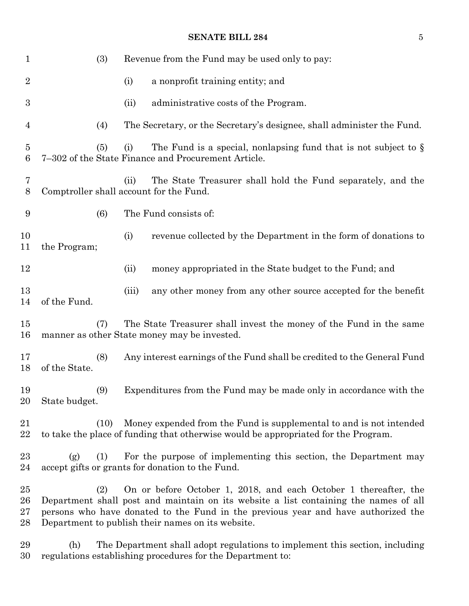## **SENATE BILL 284** 5

| $\mathbf{1}$                       | (3)                                                                                                                                                                                                                                                                                                       |       | Revenue from the Fund may be used only to pay:                                                                                                            |  |  |
|------------------------------------|-----------------------------------------------------------------------------------------------------------------------------------------------------------------------------------------------------------------------------------------------------------------------------------------------------------|-------|-----------------------------------------------------------------------------------------------------------------------------------------------------------|--|--|
| $\overline{2}$                     |                                                                                                                                                                                                                                                                                                           | (i)   | a nonprofit training entity; and                                                                                                                          |  |  |
| 3                                  |                                                                                                                                                                                                                                                                                                           | (ii)  | administrative costs of the Program.                                                                                                                      |  |  |
| 4                                  | (4)                                                                                                                                                                                                                                                                                                       |       | The Secretary, or the Secretary's designee, shall administer the Fund.                                                                                    |  |  |
| $\overline{5}$<br>$\boldsymbol{6}$ | (5)                                                                                                                                                                                                                                                                                                       | (i)   | The Fund is a special, nonlapsing fund that is not subject to $\S$<br>7-302 of the State Finance and Procurement Article.                                 |  |  |
| 7<br>8                             | Comptroller shall account for the Fund.                                                                                                                                                                                                                                                                   | (ii)  | The State Treasurer shall hold the Fund separately, and the                                                                                               |  |  |
| 9                                  | (6)                                                                                                                                                                                                                                                                                                       |       | The Fund consists of:                                                                                                                                     |  |  |
| 10<br>11                           | the Program;                                                                                                                                                                                                                                                                                              | (i)   | revenue collected by the Department in the form of donations to                                                                                           |  |  |
| 12                                 |                                                                                                                                                                                                                                                                                                           | (ii)  | money appropriated in the State budget to the Fund; and                                                                                                   |  |  |
| 13<br>14                           | of the Fund.                                                                                                                                                                                                                                                                                              | (iii) | any other money from any other source accepted for the benefit                                                                                            |  |  |
| 15<br>16                           | (7)                                                                                                                                                                                                                                                                                                       |       | The State Treasurer shall invest the money of the Fund in the same<br>manner as other State money may be invested.                                        |  |  |
| 17<br>18                           | (8)<br>of the State.                                                                                                                                                                                                                                                                                      |       | Any interest earnings of the Fund shall be credited to the General Fund                                                                                   |  |  |
| 19<br>20                           | (9)<br>State budget.                                                                                                                                                                                                                                                                                      |       | Expenditures from the Fund may be made only in accordance with the                                                                                        |  |  |
| 21<br>22                           | (10)                                                                                                                                                                                                                                                                                                      |       | Money expended from the Fund is supplemental to and is not intended<br>to take the place of funding that otherwise would be appropriated for the Program. |  |  |
| 23<br>24                           | (1)<br>(g)                                                                                                                                                                                                                                                                                                |       | For the purpose of implementing this section, the Department may<br>accept gifts or grants for donation to the Fund.                                      |  |  |
| 25<br>26<br>27<br>28               | On or before October 1, 2018, and each October 1 thereafter, the<br>(2)<br>Department shall post and maintain on its website a list containing the names of all<br>persons who have donated to the Fund in the previous year and have authorized the<br>Department to publish their names on its website. |       |                                                                                                                                                           |  |  |
| 29<br>30                           | The Department shall adopt regulations to implement this section, including<br>(h)<br>regulations establishing procedures for the Department to:                                                                                                                                                          |       |                                                                                                                                                           |  |  |